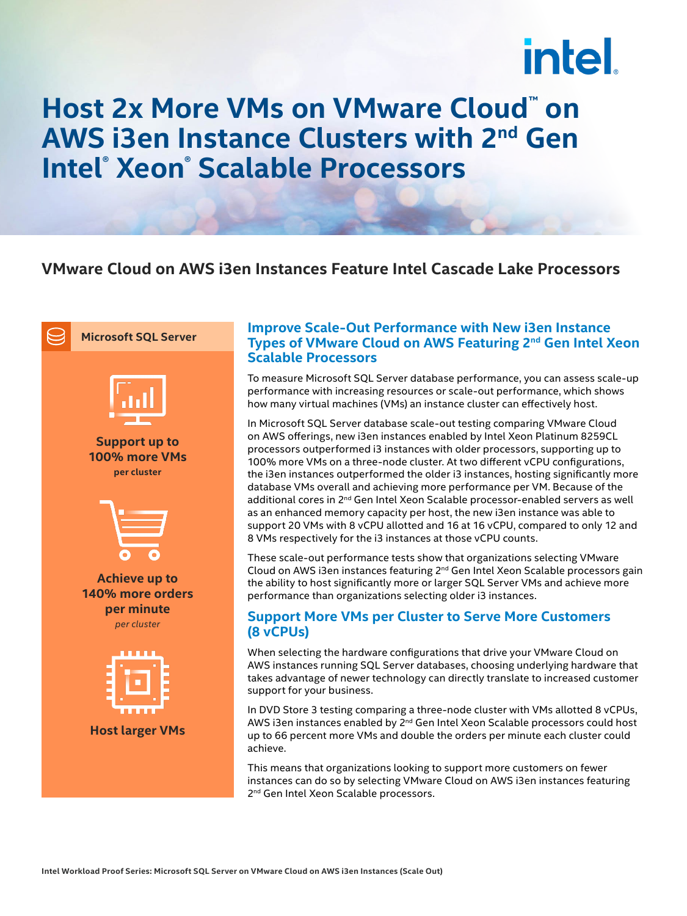# **intel**

### **Host 2x More VMs on VMware Cloud™ on AWS i3en Instance Clusters with 2nd Gen Intel® Xeon® Scalable Processors**

#### **VMware Cloud on AWS i3en Instances Feature Intel Cascade Lake Processors**



**Support up to 100% more VMs per cluster**



**Achieve up to 140% more orders per minute** *per cluster*



**Host larger VMs**

#### **Improve Scale-Out Performance with New i3en Instance Types of VMware Cloud on AWS Featuring 2nd Gen Intel Xeon Scalable Processors**

To measure Microsoft SQL Server database performance, you can assess scale-up performance with increasing resources or scale-out performance, which shows how many virtual machines (VMs) an instance cluster can effectively host.

In Microsoft SQL Server database scale-out testing comparing VMware Cloud on AWS offerings, new i3en instances enabled by Intel Xeon Platinum 8259CL processors outperformed i3 instances with older processors, supporting up to 100% more VMs on a three-node cluster. At two different vCPU configurations, the i3en instances outperformed the older i3 instances, hosting significantly more database VMs overall and achieving more performance per VM. Because of the additional cores in 2<sup>nd</sup> Gen Intel Xeon Scalable processor-enabled servers as well as an enhanced memory capacity per host, the new i3en instance was able to support 20 VMs with 8 vCPU allotted and 16 at 16 vCPU, compared to only 12 and 8 VMs respectively for the i3 instances at those vCPU counts.

These scale-out performance tests show that organizations selecting VMware Cloud on AWS i3en instances featuring  $2<sup>nd</sup>$  Gen Intel Xeon Scalable processors gain the ability to host significantly more or larger SQL Server VMs and achieve more performance than organizations selecting older i3 instances.

#### **Support More VMs per Cluster to Serve More Customers (8 vCPUs)**

When selecting the hardware configurations that drive your VMware Cloud on AWS instances running SQL Server databases, choosing underlying hardware that takes advantage of newer technology can directly translate to increased customer support for your business.

In DVD Store 3 testing comparing a three-node cluster with VMs allotted 8 vCPUs, AWS i3en instances enabled by 2<sup>nd</sup> Gen Intel Xeon Scalable processors could host up to 66 percent more VMs and double the orders per minute each cluster could achieve.

This means that organizations looking to support more customers on fewer instances can do so by selecting VMware Cloud on AWS i3en instances featuring 2<sup>nd</sup> Gen Intel Xeon Scalable processors.